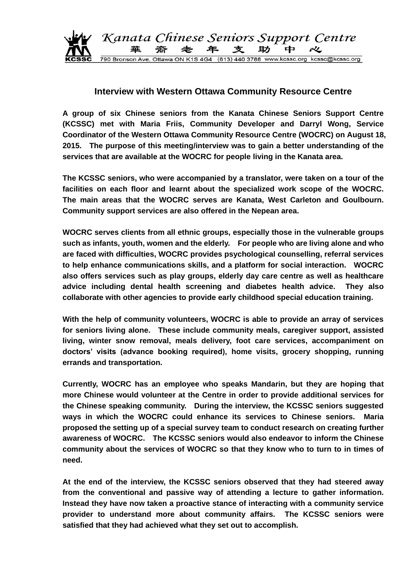

## **Interview with Western Ottawa Community Resource Centre**

**A group of six Chinese seniors from the Kanata Chinese Seniors Support Centre (KCSSC) met with Maria Friis, Community Developer and Darryl Wong, Service Coordinator of the Western Ottawa Community Resource Centre (WOCRC) on August 18, 2015. The purpose of this meeting/interview was to gain a better understanding of the services that are available at the WOCRC for people living in the Kanata area.** 

**The KCSSC seniors, who were accompanied by a translator, were taken on a tour of the facilities on each floor and learnt about the specialized work scope of the WOCRC. The main areas that the WOCRC serves are Kanata, West Carleton and Goulbourn. Community support services are also offered in the Nepean area.** 

**WOCRC serves clients from all ethnic groups, especially those in the vulnerable groups such as infants, youth, women and the elderly. For people who are living alone and who are faced with difficulties, WOCRC provides psychological counselling, referral services to help enhance communications skills, and a platform for social interaction. WOCRC also offers services such as play groups, elderly day care centre as well as healthcare advice including dental health screening and diabetes health advice. They also collaborate with other agencies to provide early childhood special education training.**

**With the help of community volunteers, WOCRC is able to provide an array of services for seniors living alone. These include community meals, caregiver support, assisted living, winter snow removal, meals delivery, foot care services, accompaniment on doctors' visits (advance booking required), home visits, grocery shopping, running errands and transportation.**

**Currently, WOCRC has an employee who speaks Mandarin, but they are hoping that more Chinese would volunteer at the Centre in order to provide additional services for the Chinese speaking community. During the interview, the KCSSC seniors suggested ways in which the WOCRC could enhance its services to Chinese seniors. Maria proposed the setting up of a special survey team to conduct research on creating further awareness of WOCRC. The KCSSC seniors would also endeavor to inform the Chinese community about the services of WOCRC so that they know who to turn to in times of need.**

**At the end of the interview, the KCSSC seniors observed that they had steered away from the conventional and passive way of attending a lecture to gather information. Instead they have now taken a proactive stance of interacting with a community service provider to understand more about community affairs. The KCSSC seniors were satisfied that they had achieved what they set out to accomplish.**